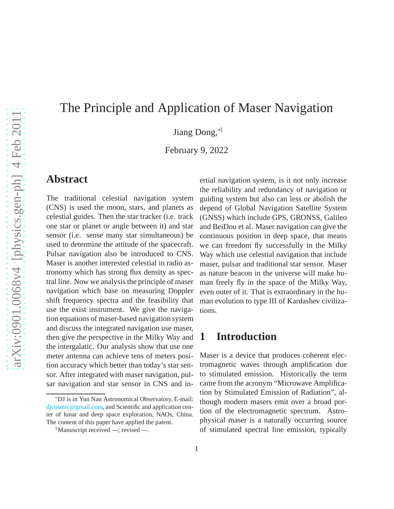# The Principle and Application of Maser Navigation

Jiang Dong,∗†

February 9, 2022

#### **Abstract**

The traditional celestial navigation system (CNS) is used the moon, stars, and planets as celestial guides. Then the star tracker (i.e. track one star or planet or angle between it) and star sensor (i.e. sense many star simultaneous) be used to determine the attitude of the spacecraft. Pulsar navigation also be introduced to CNS. Maser is another interested celestial in radio astronomy which has strong flux density as spectral line. Now we analysis the principle of maser navigation which base on measuring Doppler shift frequency spectra and the feasibility that use the exist instrument. We give the navigation equations of maser-based navigation system and discuss the integrated navigation use maser, then give the perspective in the Milky Way and the intergalatic. Our analysis show that use one meter antenna can achieve tens of meters position accuracy which better than today's star sensor. After integrated with maser navigation, pulsar navigation and star sensor in CNS and inertial navigation system, is it not only increase the reliability and redundancy of navigation or guiding system but also can less or abolish the depend of Global Navigation Satellite System (GNSS) which include GPS, GRONSS, Galileo and BeiDou et al. Maser navigation can give the continuous position in deep space, that means we can freedom fly successfully in the Milky Way which use celestial navigation that include maser, pulsar and traditional star sensor. Maser as nature beacon in the universe will make human freely fly in the space of the Milky Way, even outer of it. That is extraordinary in the human evolution to type III of Kardashev civilizations.

## **1 Introduction**

Maser is a device that produces coherent electromagnetic waves through amplification due to stimulated emission. Historically the term came from the acronym "Microwave Amplification by Stimulated Emission of Radiation", although modern masers emit over a broad portion of the electromagnetic spectrum. Astrophysical maser is a naturally occurring source of stimulated spectral line emission, typically

<sup>∗</sup>DJ is in Yun Nan Astronomical Observatory, E-mail: [djcosmic@gmail.com,](mailto:djcosmic@gmail.com) and Scientific and application center of lunar and deep space exploration, NAOs, China. The content of this paper have applied the patent.

<sup>†</sup>Manuscript received —; revised —.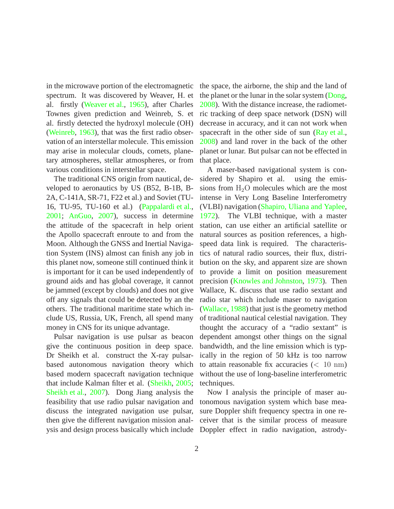in the microwave portion of the electromagnetic spectrum. It was discovered by Weaver, H. et al. firstly [\(Weaver et al.,](#page-9-0) [1965\)](#page-9-0), after Charles Townes given prediction and Weinreb, S. et al. firstly detected the hydroxyl molecule (OH) [\(Weinreb](#page-9-1), [1963\)](#page-9-1), that was the first radio observation of an interstellar molecule. This emission may arise in molecular clouds, comets, planetary atmospheres, stellar atmospheres, or from various conditions in interstellar space.

The traditional CNS origin from nautical, developed to aeronautics by US (B52, B-1B, B-2A, C-141A, SR-71, F22 et al.) and Soviet (TU-16, TU-95, TU-160 et al.) [\(Pappalardi et al.,](#page-8-0) [2001;](#page-8-0) [AnGuo](#page-7-0), [2007\)](#page-7-0), success in determine the attitude of the spacecraft in help orient the Apollo spacecraft enroute to and from the Moon. Although the GNSS and Inertial Navigation System (INS) almost can finish any job in this planet now, someone still continued think it is important for it can be used independently of ground aids and has global coverage, it cannot be jammed (except by clouds) and does not give off any signals that could be detected by an the others. The traditional maritime state which include US, Russia, UK, French, all spend many money in CNS for its unique advantage.

Pulsar navigation is use pulsar as beacon give the continuous position in deep space. Dr Sheikh et al. construct the X-ray pulsarbased autonomous navigation theory which based modern spacecraft navigation technique that include Kalman filter et al. [\(Sheikh,](#page-8-1) [2005](#page-8-1); [Sheikh et al.,](#page-8-2) [2007\)](#page-8-2). Dong Jiang analysis the feasibility that use radio pulsar navigation and discuss the integrated navigation use pulsar, then give the different navigation mission analysis and design process basically which include the space, the airborne, the ship and the land of the planet or the lunar in the solar system [\(Dong](#page-8-3), [2008\)](#page-8-3). With the distance increase, the radiometric tracking of deep space network (DSN) will decrease in accuracy, and it can not work when spacecraft in the other side of sun [\(Ray et al.](#page-8-4), [2008\)](#page-8-4) and land rover in the back of the other planet or lunar. But pulsar can not be effected in that place.

A maser-based navigational system is considered by Shapiro et al. using the emissions from  $H_2O$  molecules which are the most intense in Very Long Baseline Interferometry (VLBI) navigation [\(Shapiro, Uliana and Yaplee](#page-8-5), [1972\)](#page-8-5). The VLBI technique, with a master station, can use either an artificial satellite or natural sources as position references, a highspeed data link is required. The characteristics of natural radio sources, their flux, distribution on the sky, and apparent size are shown to provide a limit on position measurement precision [\(Knowles and Johnston,](#page-8-6) [1973](#page-8-6)). Then Wallace, K. discuss that use radio sextant and radio star which include maser to navigation [\(Wallace,](#page-9-2) [1988](#page-9-2)) that just is the geometry method of traditional nautical celestial navigation. They thought the accuracy of a "radio sextant" is dependent amongst other things on the signal bandwidth, and the line emission which is typically in the region of 50 kHz is too narrow to attain reasonable fix accuracies  $\left($  < 10 nm) without the use of long-baseline interferometric techniques.

Now I analysis the principle of maser autonomous navigation system which base measure Doppler shift frequency spectra in one receiver that is the similar process of measure Doppler effect in radio navigation, astrody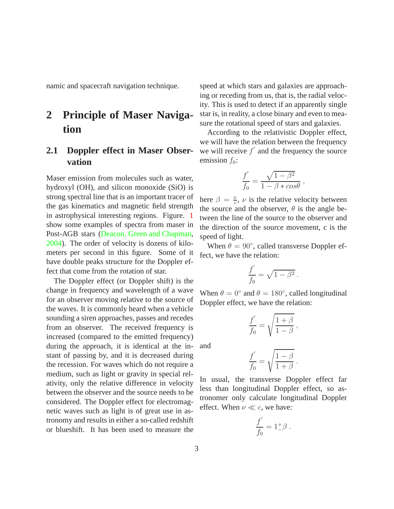namic and spacecraft navigation technique.

# **2 Principle of Maser Navigation**

### **2.1 Doppler effect in Maser Observation**

Maser emission from molecules such as water, hydroxyl (OH), and silicon monoxide (SiO) is strong spectral line that is an important tracer of the gas kinematics and magnetic field strength in astrophysical interesting regions. Figure. [1](#page-10-0) show some examples of spectra from maser in Post-AGB stars [\(Deacon, Green and Chapman,](#page-8-7) [2004\)](#page-8-7). The order of velocity is dozens of kilometers per second in this figure. Some of it have double peaks structure for the Doppler effect that come from the rotation of star.

The Doppler effect (or Doppler shift) is the change in frequency and wavelength of a wave for an observer moving relative to the source of the waves. It is commonly heard when a vehicle sounding a siren approaches, passes and recedes from an observer. The received frequency is increased (compared to the emitted frequency) during the approach, it is identical at the instant of passing by, and it is decreased during the recession. For waves which do not require a medium, such as light or gravity in special relativity, only the relative difference in velocity between the observer and the source needs to be considered. The Doppler effect for electromagnetic waves such as light is of great use in astronomy and results in either a so-called redshift or blueshift. It has been used to measure the

speed at which stars and galaxies are approaching or receding from us, that is, the radial velocity. This is used to detect if an apparently single star is, in reality, a close binary and even to measure the rotational speed of stars and galaxies.

According to the relativistic Doppler effect, we will have the relation between the frequency we will receive  $f'$  and the frequency the source emission  $f_0$ :

$$
\frac{f'}{f_0} = \frac{\sqrt{1-\beta^2}}{1-\beta * cos\theta},
$$

here  $\beta = \frac{\nu}{c}$  $\frac{\nu}{c}$ ,  $\nu$  is the relative velocity between the source and the observer,  $\theta$  is the angle between the line of the source to the observer and the direction of the source movement, c is the speed of light.

When  $\theta = 90^{\circ}$ , called transverse Doppler effect, we have the relation:

$$
\frac{f^{'}}{f_0} = \sqrt{1-\beta^2}.
$$

When  $\theta = 0^{\circ}$  and  $\theta = 180^{\circ}$ , called longitudinal Doppler effect, we have the relation:

$$
\frac{f'}{f_0} = \sqrt{\frac{1+\beta}{1-\beta}} ,
$$

and

$$
\frac{f'}{f_0} = \sqrt{\frac{1-\beta}{1+\beta}}.
$$

In usual, the transverse Doppler effect far less than longitudinal Doppler effect, so astronomer only calculate longitudinal Doppler effect. When  $\nu \ll c$ , we have:

$$
\frac{f^{'}}{f_0}=1^{+}_{-}\beta\;.
$$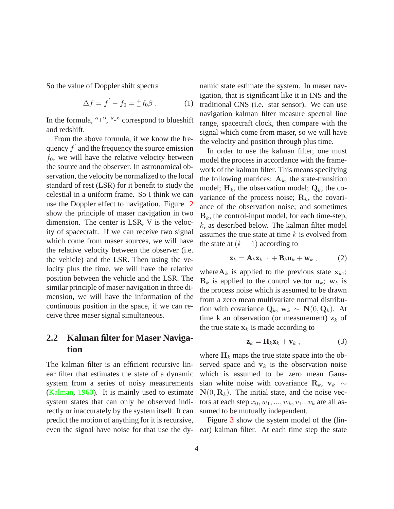So the value of Doppler shift spectra

$$
\Delta f = f' - f_0 = \frac{+}{-}f_0 \beta . \tag{1}
$$

In the formula, "+", "-" correspond to blueshift and redshift.

From the above formula, if we know the frequency  $f'$  and the frequency the source emission  $f_0$ , we will have the relative velocity between the source and the observer. In astronomical observation, the velocity be normalized to the local standard of rest (LSR) for it benefit to study the celestial in a uniform frame. So I think we can use the Doppler effect to navigation. Figure. [2](#page-10-1) show the principle of maser navigation in two dimension. The center is LSR, V is the velocity of spacecraft. If we can receive two signal which come from maser sources, we will have the relative velocity between the observer (i.e. the vehicle) and the LSR. Then using the velocity plus the time, we will have the relative position between the vehicle and the LSR. The similar principle of maser navigation in three dimension, we will have the information of the continuous position in the space, if we can receive three maser signal simultaneous.

#### **2.2 Kalman filter for Maser Navigation**

The kalman filter is an efficient recursive linear filter that estimates the state of a dynamic system from a series of noisy measurements [\(Kalman,](#page-8-8) [1960](#page-8-8)). It is mainly used to estimate system states that can only be observed indirectly or inaccurately by the system itself. It can predict the motion of anything for it is recursive,

namic state estimate the system. In maser navigation, that is significant like it in INS and the traditional CNS (i.e. star sensor). We can use navigation kalman filter measure spectral line range, spacecraft clock, then compare with the signal which come from maser, so we will have the velocity and position through plus time.

In order to use the kalman filter, one must model the process in accordance with the framework of the kalman filter. This means specifying the following matrices:  $A_k$ , the state-transition model;  $H_k$ , the observation model;  $Q_k$ , the covariance of the process noise;  $\mathbf{R}_k$ , the covariance of the observation noise; and sometimes  $B_k$ , the control-input model, for each time-step, k, as described below. The kalman filter model assumes the true state at time  $k$  is evolved from the state at  $(k - 1)$  according to

$$
\mathbf{x}_k = \mathbf{A}_k \mathbf{x}_{k-1} + \mathbf{B}_k \mathbf{u}_k + \mathbf{w}_k , \qquad (2)
$$

where  $A_k$  is applied to the previous state  $x_{k1}$ ;  $B_k$  is applied to the control vector  $u_k$ ;  $w_k$  is the process noise which is assumed to be drawn from a zero mean multivariate normal distribution with covariance  $\mathbf{Q}_k$ ,  $\mathbf{w}_k \sim \mathbf{N}(0, \mathbf{Q}_k)$ . At time k an observation (or measurement)  $z_k$  of the true state  $x_k$  is made according to

$$
\mathbf{z}_k = \mathbf{H}_k \mathbf{x}_k + \mathbf{v}_k \,, \tag{3}
$$

where  $H_k$  maps the true state space into the observed space and  $v_k$  is the observation noise which is assumed to be zero mean Gaussian white noise with covariance R<sub>k</sub>,  $v_k \sim$  $N(0, R_k)$ . The initial state, and the noise vectors at each step  $x_0, w_1, ..., w_k, v_1...v_k$  are all assumed to be mutually independent.

even the signal have noise for that use the dy- ear) kalman filter. At each time step the state Figure [3](#page-10-2) show the system model of the (lin-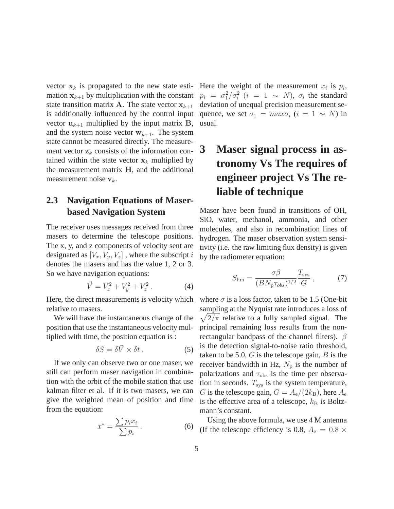vector  $x_k$  is propagated to the new state esti- Here the weight of the measurement  $x_i$  is  $p_i$ , mation  $x_{k+1}$  by multiplication with the constant state transition matrix **A**. The state vector  $x_{k+1}$ is additionally influenced by the control input vector  $\mathbf{u}_{k+1}$  multiplied by the input matrix **B**, and the system noise vector  $w_{k+1}$ . The system state cannot be measured directly. The measurement vector  $z_k$  consists of the information contained within the state vector  $x_k$  multiplied by the measurement matrix H, and the additional measurement noise  $v_k$ .

#### **2.3 Navigation Equations of Maserbased Navigation System**

The receiver uses messages received from three masers to determine the telescope positions. The x, y, and z components of velocity sent are designated as  $[V_x, V_y, V_z]$ , where the subscript i denotes the masers and has the value 1, 2 or 3. So we have navigation equations:

$$
\vec{V} = V_x^2 + V_y^2 + V_z^2 \,. \tag{4}
$$

Here, the direct measurements is velocity which relative to masers.

We will have the instantaneous change of the position that use the instantaneous velocity multiplied with time, the position equation is :

$$
\delta S = \delta \vec{V} \times \delta t \,. \tag{5}
$$

If we only can observe two or one maser, we still can perform maser navigation in combination with the orbit of the mobile station that use kalman filter et al. If it is two masers, we can give the weighted mean of position and time from the equation:

$$
x^* = \frac{\sum p_i x_i}{\sum p_i} \,. \tag{6}
$$

 $p_i = \sigma_1^2/\sigma_i^2$   $(i = 1 \sim N)$ ,  $\sigma_i$  the standard deviation of unequal precision measurement sequence, we set  $\sigma_1 = \max \sigma_i$   $(i = 1 \sim N)$  in usual.

# **3 Maser signal process in astronomy Vs The requires of engineer project Vs The reliable of technique**

Maser have been found in transitions of OH, SiO, water, methanol, ammonia, and other molecules, and also in recombination lines of hydrogen. The maser observation system sensitivity (i.e. the raw limiting flux density) is given by the radiometer equation:

<span id="page-4-0"></span>
$$
S_{\rm lim} = \frac{\sigma \beta}{(B N_{\rm p} \tau_{obs})^{1/2}} \frac{T_{\rm sys}}{G} \,, \tag{7}
$$

where  $\sigma$  is a loss factor, taken to be 1.5 (One-bit sampling at the Nyquist rate introduces a loss of  $\sqrt{2/\pi}$  relative to a fully sampled signal. The principal remaining loss results from the nonrectangular bandpass of the channel filters).  $\beta$ is the detection signal-to-noise ratio threshold, taken to be 5.0,  $G$  is the telescope gain,  $B$  is the receiver bandwidth in Hz,  $N_p$  is the number of polarizations and  $\tau_{\rm obs}$  is the time per observation in seconds.  $T_{sys}$  is the system temperature, G is the telescope gain,  $G = A_e/(2k_B)$ , here  $A_e$ is the effective area of a telescope,  $k_B$  is Boltzmann's constant.

Using the above formula, we use 4 M antenna (If the telescope efficiency is 0.8,  $A_e = 0.8 \times$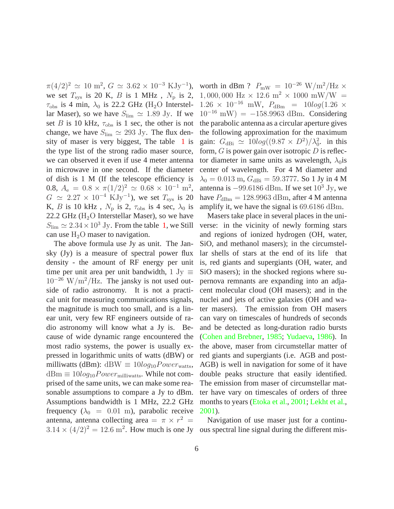we set  $T_{\text{sys}}$  is 20 K, B is 1 MHz,  $N_{\text{p}}$  is 2,  $\tau_{\rm obs}$  is 4 min,  $\lambda_0$  is 22.2 GHz (H<sub>2</sub>O Interstellar Maser), so we have  $S_{\text{lim}} \simeq 1.89 \text{ Jy}$ . If we set B is 10 kHz,  $\tau_{obs}$  is 1 sec, the other is not change, we have  $S_{\text{lim}} \simeq 293 \text{ Jy}$ . The flux density of maser is very biggest, The table [1](#page-11-0) is the type list of the strong radio maser source, we can observed it even if use 4 meter antenna in microwave in one second. If the diameter of dish is 1 M (If the telescope efficiency is 0.8,  $A_e = 0.8 \times \pi (1/2)^2 \simeq 0.68 \times 10^{-1}$  m<sup>2</sup>,  $G \simeq 2.27 \times 10^{-4} \text{ KJy}^{-1}$ ), we set  $T_{\text{sys}}$  is 20 K, B is 10 kHz,  $N_p$  is 2,  $\tau_{obs}$  is 4 sec,  $\lambda_0$  is 22.2 GHz ( $H_2O$  Interstellar Maser), so we have  $S_{\text{lim}} \simeq 2.34 \times 10^3$  Jy. From the table [1,](#page-11-0) we Still can use  $H_2O$  maser to navigation.

The above formula use Jy as unit. The Jansky (Jy) is a measure of spectral power flux density - the amount of RF energy per unit time per unit area per unit bandwidth, 1 Jy  $\equiv$  $10^{-26}$  W/m<sup>2</sup>/Hz. The jansky is not used outside of radio astronomy. It is not a practical unit for measuring communications signals, the magnitude is much too small, and is a linear unit, very few RF engineers outside of radio astronomy will know what a Jy is. Because of wide dynamic range encountered the most radio systems, the power is usually expressed in logarithmic units of watts (dBW) or milliwatts (dBm): dBW  $\equiv 10 log_{10} Power_{watts}$ ,  $dBm \equiv 10log_{10}Power_{\text{millivatts}}$ . While not comprised of the same units, we can make some reasonable assumptions to compare a Jy to dBm. Assumptions bandwidth is 1 MHz, 22.2 GHz frequency ( $\lambda_0$  = 0.01 m), parabolic receive antenna, antenna collecting area  $= \pi \times r^2 =$  $3.14 \times (4/2)^2 = 12.6$  m<sup>2</sup>. How much is one Jy ous spectral line signal during the different mis-

 $\pi(4/2)^2 \simeq 10 \text{ m}^2$ ,  $G \simeq 3.62 \times 10^{-3} \text{ KJy}^{-1}$ ), worth in dBm ?  $P_{\text{mW}} = 10^{-26} \text{ W/m}^2/\text{Hz} \times$ 1,000,000 Hz  $\times$  12.6 m<sup>2</sup>  $\times$  1000 mW/W =  $1.26 \times 10^{-16}$  mW,  $P_{\text{dBm}} = 10 \log(1.26 \times$  $10^{-16}$  mW) = -158.9963 dBm. Considering the parabolic antenna as a circular aperture gives the following approximation for the maximum gain:  $G_{\text{dBi}} \simeq 10 \log((9.87 \times D^2)/\lambda_0^2$ . in this form,  $G$  is power gain over isotropic  $D$  is reflector diameter in same units as wavelength,  $\lambda_0$  is center of wavelength. For 4 M diameter and  $\lambda_0 = 0.013$  m,  $G_{\text{dBi}} = 59.3777$ . So 1 Jy in 4 M antenna is  $-99.6186$  dBm. If we set  $10^3$  Jy, we have  $P_{\text{dBm}} = 128.9963 \text{ dBm}$ , after 4 M antenna amplify it, we have the signal is 69.6186 dBm.

> Masers take place in several places in the universe: in the vicinity of newly forming stars and regions of ionized hydrogen (OH, water, SiO, and methanol masers); in the circumstellar shells of stars at the end of its life that is, red giants and supergiants (OH, water, and SiO masers); in the shocked regions where supernova remnants are expanding into an adjacent molecular cloud (OH masers); and in the nuclei and jets of active galaxies (OH and water masers). The emission from OH masers can vary on timescales of hundreds of seconds and be detected as long-duration radio bursts [\(Cohen and Brebner](#page-7-1), [1985](#page-7-1); [Yudaeva,](#page-9-3) [1986](#page-9-3)). In the above, maser from circumstellar matter of red giants and supergiants (i.e. AGB and post-AGB) is well in navigation for some of it have double peaks structure that easily identified. The emission from maser of circumstellar matter have vary on timescales of orders of three months to years [\(Etoka et al.,](#page-8-9) [2001](#page-8-9); [Lekht et al.](#page-8-10), [2001\)](#page-8-10).

> Navigation of use maser just for a continu-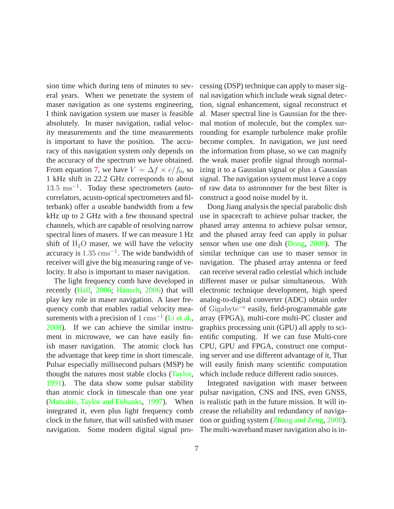sion time which during tens of minutes to several years. When we penetrate the system of maser navigation as one systems engineering, I think navigation system use maser is feasible absolutely. In maser navigation, radial velocity measurements and the time measurements is important to have the position. The accuracy of this navigation system only depends on the accuracy of the spectrum we have obtained. From equation [7,](#page-4-0) we have  $V = \Delta f \times c/f_0$ , so 1 kHz shift in 22.2 GHz corresponds to about 13.5 ms<sup>−</sup><sup>1</sup> . Today these spectrometers (autocorrelators, acusto-optical spectrometers and filterbank) offer a useable bandwidth from a few kHz up to 2 GHz with a few thousand spectral channels, which are capable of resolving narrow spectral lines of masers. If we can measure 1 Hz shift of  $H_2O$  maser, we will have the velocity accuracy is  $1.35 \text{ cm s}^{-1}$ . The wide bandwidth of receiver will give the big measuring range of velocity. It also is important to maser navigation.

The light frequency comb have developed in recently [\(Hall](#page-8-11), [2006;](#page-8-11) Hänsch, [2006](#page-8-12)) that will play key role in maser navigation. A laser frequency comb that enables radial velocity measurements with a precision of  $1 \text{ cm s}^{-1}$  [\(Li et al.,](#page-8-13) [2008\)](#page-8-13). If we can achieve the similar instrument in microwave, we can have easily finish maser navigation. The atomic clock has the advantage that keep time in short timescale. Pulsar especially millisecond pulsars (MSP) be thought the natures most stable clocks [\(Taylor,](#page-8-14) [1991\)](#page-8-14). The data show some pulsar stability than atomic clock in timescale than one year [\(Matsakis, Taylor and Eubanks,](#page-8-15) [1997](#page-8-15)). When integrated it, even plus light frequency comb clock in the future, that will satisfied with maser navigation. Some modern digital signal processing (DSP) technique can apply to maser signal navigation which include weak signal detection, signal enhancement, signal reconstruct et al. Maser spectral line is Gaussian for the thermal motion of molecule, but the complex surrounding for example turbulence make profile become complex. In navigation, we just need the information from phase, so we can magnify the weak maser profile signal through normalizing it to a Gaussian signal or plus a Gaussian signal. The navigation system must leave a copy of raw data to astronomer for the best filter is construct a good noise model by it.

Dong Jiang analysis the special parabolic dish use in spacecraft to achieve pulsar tracker, the phased array antenna to achieve pulsar sensor, and the phased array feed can apply in pulsar sensor when use one dish [\(Dong,](#page-8-3) [2008](#page-8-3)). The similar technique can use to maser sensor in navigation. The phased array antenna or feed can receive several radio celestial which include different maser or pulsar simultaneous. With electronic technique development, high speed analog-to-digital converter (ADC) obtain order of Gigabyte<sup>−</sup><sup>s</sup> easily, field-programmable gate array (FPGA), multi-core multi-PC cluster and graphics processing unit (GPU) all apply to scientific computing. If we can fuse Multi-core CPU, GPU and FPGA, construct one computing server and use different advantage of it, That will easily finish many scientific computation which include reduce different radio sources.

Integrated navigation with maser between pulsar navigation, CNS and INS, even GNSS, is realistic path in the future mission. It will increase the reliability and redundancy of navigation or guiding system [\(Zhang and Zeng,](#page-9-4) [2008](#page-9-4)). The multi-waveband maser navigation also is in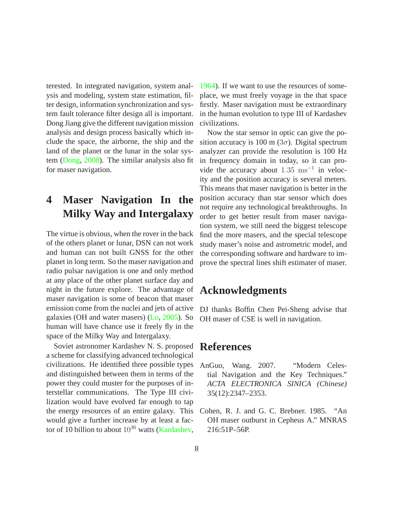terested. In integrated navigation, system analysis and modeling, system state estimation, filter design, information synchronization and system fault tolerance filter design all is important. Dong Jiang give the different navigation mission analysis and design process basically which include the space, the airborne, the ship and the land of the planet or the lunar in the solar system [\(Dong](#page-8-3), [2008\)](#page-8-3). The similar analysis also fit for maser navigation.

## **4 Maser Navigation In the Milky Way and Intergalaxy**

The virtue is obvious, when the rover in the back of the others planet or lunar, DSN can not work and human can not built GNSS for the other planet in long term. So the maser navigation and radio pulsar navigation is one and only method at any place of the other planet surface day and night in the future explore. The advantage of maser navigation is some of beacon that maser emission come from the nuclei and jets of active galaxies (OH and water masers) [\(Lo,](#page-8-16) [2005\)](#page-8-16). So human will have chance use it freely fly in the space of the Milky Way and Intergalaxy.

Soviet astronomer Kardashev N. S. proposed a scheme for classifying advanced technological civilizations. He identified three possible types and distinguished between them in terms of the power they could muster for the purposes of interstellar communications. The Type III civilization would have evolved far enough to tap the energy resources of an entire galaxy. This would give a further increase by at least a factor of 10 billion to about  $10^{36}$  watts [\(Kardashev,](#page-8-17)

[1964\)](#page-8-17). If we want to use the resources of someplace, we must freely voyage in the that space firstly. Maser navigation must be extraordinary in the human evolution to type III of Kardashev civilizations.

Now the star sensor in optic can give the position accuracy is 100 m ( $3\sigma$ ). Digital spectrum analyzer can provide the resolution is 100 Hz in frequency domain in today, so it can provide the accuracy about 1.35 ms<sup>-1</sup> in velocity and the position accuracy is several meters. This means that maser navigation is better in the position accuracy than star sensor which does not require any technological breakthroughs. In order to get better result from maser navigation system, we still need the biggest telescope find the more masers, and the special telescope study maser's noise and astrometric model, and the corresponding software and hardware to improve the spectral lines shift estimater of maser.

## **Acknowledgments**

DJ thanks Boffin Chen Pei-Sheng advise that OH maser of CSE is well in navigation.

### **References**

- <span id="page-7-0"></span>AnGuo, Wang. 2007. "Modern Celestial Navigation and the Key Techniques." *ACTA ELECTRONICA SINICA (Chinese)* 35(12):2347–2353.
- <span id="page-7-1"></span>Cohen, R. J. and G. C. Brebner. 1985. "An OH maser outburst in Cepheus A." MNRAS 216:51P–56P.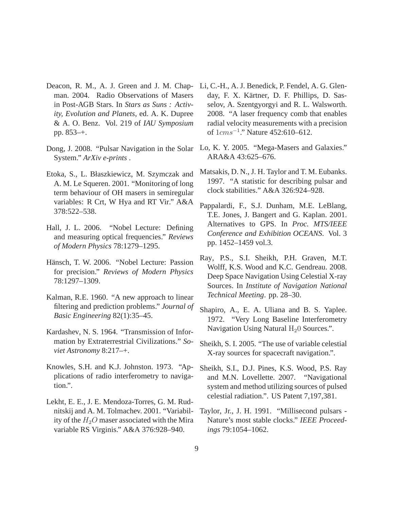- <span id="page-8-7"></span>Deacon, R. M., A. J. Green and J. M. Chapman. 2004. Radio Observations of Masers in Post-AGB Stars. In *Stars as Suns : Activity, Evolution and Planets*, ed. A. K. Dupree & A. O. Benz. Vol. 219 of *IAU Symposium* pp. 853–+.
- <span id="page-8-3"></span>Dong, J. 2008. "Pulsar Navigation in the Solar System." *ArXiv e-prints* .
- <span id="page-8-9"></span>Etoka, S., L. Błaszkiewicz, M. Szymczak and A. M. Le Squeren. 2001. "Monitoring of long term behaviour of OH masers in semiregular variables: R Crt, W Hya and RT Vir." A&A 378:522–538.
- <span id="page-8-11"></span>Hall, J. L. 2006. "Nobel Lecture: Defining and measuring optical frequencies." *Reviews of Modern Physics* 78:1279–1295.
- <span id="page-8-12"></span>Hänsch, T. W. 2006. "Nobel Lecture: Passion for precision." *Reviews of Modern Physics* 78:1297–1309.
- <span id="page-8-8"></span>Kalman, R.E. 1960. "A new approach to linear filtering and prediction problems." *Journal of Basic Engineering* 82(1):35–45.
- <span id="page-8-17"></span>Kardashev, N. S. 1964. "Transmission of Information by Extraterrestrial Civilizations." *Soviet Astronomy* 8:217–+.
- <span id="page-8-6"></span>Knowles, S.H. and K.J. Johnston. 1973. "Applications of radio interferometry to navigation.".
- <span id="page-8-10"></span>Lekht, E. E., J. E. Mendoza-Torres, G. M. Rudnitskij and A. M. Tolmachev. 2001. "Variability of the  $H_2O$  maser associated with the Mira variable RS Virginis." A&A 376:928–940.
- <span id="page-8-13"></span>Li, C.-H., A. J. Benedick, P. Fendel, A. G. Glenday, F. X. Kärtner, D. F. Phillips, D. Sasselov, A. Szentgyorgyi and R. L. Walsworth. 2008. "A laser frequency comb that enables radial velocity measurements with a precision of 1*cms*<sup>-1</sup>." Nature 452:610–612.
- <span id="page-8-16"></span>Lo, K. Y. 2005. "Mega-Masers and Galaxies." ARA&A 43:625–676.
- <span id="page-8-15"></span>Matsakis, D. N., J. H. Taylor and T. M. Eubanks. 1997. "A statistic for describing pulsar and clock stabilities." A&A 326:924–928.
- <span id="page-8-0"></span>Pappalardi, F., S.J. Dunham, M.E. LeBlang, T.E. Jones, J. Bangert and G. Kaplan. 2001. Alternatives to GPS. In *Proc. MTS/IEEE Conference and Exhibition OCEANS*. Vol. 3 pp. 1452–1459 vol.3.
- <span id="page-8-4"></span>Ray, P.S., S.I. Sheikh, P.H. Graven, M.T. Wolff, K.S. Wood and K.C. Gendreau. 2008. Deep Space Navigation Using Celestial X-ray Sources. In *Institute of Navigation National Technical Meeting*. pp. 28–30.
- <span id="page-8-5"></span>Shapiro, A., E. A. Uliana and B. S. Yaplee. 1972. "Very Long Baseline Interferometry Navigation Using Natural  $H<sub>2</sub>0$  Sources.".
- <span id="page-8-1"></span>Sheikh, S. I. 2005. "The use of variable celestial X-ray sources for spacecraft navigation.".
- <span id="page-8-2"></span>Sheikh, S.I., D.J. Pines, K.S. Wood, P.S. Ray and M.N. Lovellette. 2007. "Navigational system and method utilizing sources of pulsed celestial radiation.". US Patent 7,197,381.
- <span id="page-8-14"></span>Taylor, Jr., J. H. 1991. "Millisecond pulsars - Nature's most stable clocks." *IEEE Proceedings* 79:1054–1062.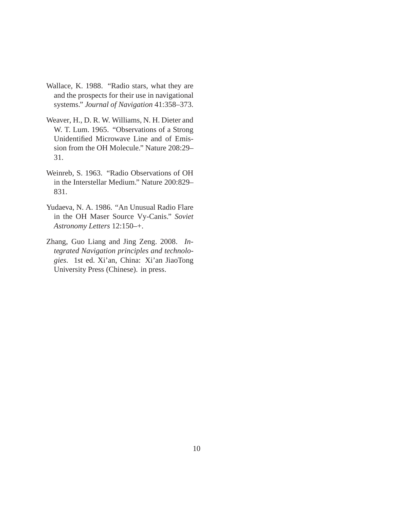- <span id="page-9-2"></span>Wallace, K. 1988. "Radio stars, what they are and the prospects for their use in navigational systems." *Journal of Navigation* 41:358–373.
- <span id="page-9-0"></span>Weaver, H., D. R. W. Williams, N. H. Dieter and W. T. Lum. 1965. "Observations of a Strong Unidentified Microwave Line and of Emission from the OH Molecule." Nature 208:29– 31.
- <span id="page-9-1"></span>Weinreb, S. 1963. "Radio Observations of OH in the Interstellar Medium." Nature 200:829– 831.
- <span id="page-9-3"></span>Yudaeva, N. A. 1986. "An Unusual Radio Flare in the OH Maser Source Vy-Canis." *Soviet Astronomy Letters* 12:150–+.
- <span id="page-9-4"></span>Zhang, Guo Liang and Jing Zeng. 2008. *Integrated Navigation principles and technologies*. 1st ed. Xi'an, China: Xi'an JiaoTong University Press (Chinese). in press.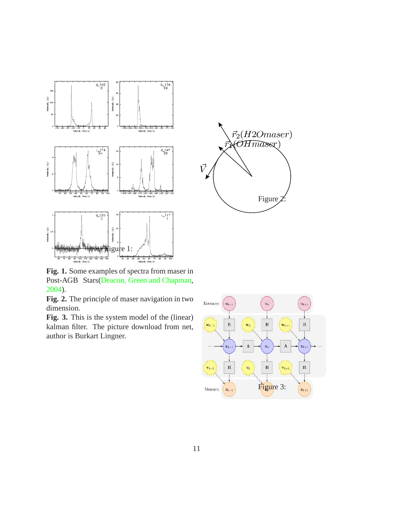

<span id="page-10-1"></span> $\vec{r}_2(H2Omaser)$  $\lambda$ (OH $\widehat{mass}$ x)  $\bar{r}$  $\vec{V}$ Figure<sub>2</sub>

**Fig. 1.** Some examples of spectra from maser in Post-AGB Stars[\(Deacon, Green and Chapman,](#page-8-7) [2004\)](#page-8-7).

**Fig. 2.** The principle of maser navigation in two dimension.

**Fig. 3.** This is the system model of the (linear) kalman filter. The picture download from net, author is Burkart Lingner.

<span id="page-10-2"></span><span id="page-10-0"></span>